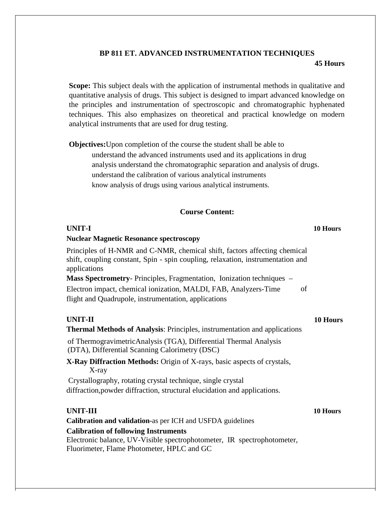## **BP 811 ET. ADVANCED INSTRUMENTATION TECHNIQUES 45 Hours**

**Scope:** This subject deals with the application of instrumental methods in qualitative and quantitative analysis of drugs. This subject is designed to impart advanced knowledge on the principles and instrumentation of spectroscopic and chromatographic hyphenated techniques. This also emphasizes on theoretical and practical knowledge on modern analytical instruments that are used for drug testing.

**Objectives:**Upon completion of the course the student shall be able to

understand the advanced instruments used and its applications in drug analysis understand the chromatographic separation and analysis of drugs. understand the calibration of various analytical instruments know analysis of drugs using various analytical instruments.

## **Course Content:**

| <b>UNIT-I</b>                                                                                                                                                                | 10 Hours |
|------------------------------------------------------------------------------------------------------------------------------------------------------------------------------|----------|
| <b>Nuclear Magnetic Resonance spectroscopy</b>                                                                                                                               |          |
| Principles of H-NMR and C-NMR, chemical shift, factors affecting chemical<br>shift, coupling constant, Spin - spin coupling, relaxation, instrumentation and<br>applications |          |
| <b>Mass Spectrometry-</b> Principles, Fragmentation, Ionization techniques –                                                                                                 |          |
| Electron impact, chemical ionization, MALDI, FAB, Analyzers-Time<br>of                                                                                                       |          |
| flight and Quadrupole, instrumentation, applications                                                                                                                         |          |
| <b>UNIT-II</b>                                                                                                                                                               | 10 Hours |
| <b>Thermal Methods of Analysis: Principles, instrumentation and applications</b>                                                                                             |          |
| of ThermogravimetricAnalysis (TGA), Differential Thermal Analysis<br>(DTA), Differential Scanning Calorimetry (DSC)                                                          |          |
| X-Ray Diffraction Methods: Origin of X-rays, basic aspects of crystals,<br>X-ray                                                                                             |          |
| Crystallography, rotating crystal technique, single crystal                                                                                                                  |          |
| diffraction, powder diffraction, structural elucidation and applications.                                                                                                    |          |
| <b>UNIT-III</b>                                                                                                                                                              | 10 Hours |
| Calibration and validation-as per ICH and USFDA guidelines                                                                                                                   |          |
| <b>Calibration of following Instruments</b><br>Electronic balance, UV-Visible spectrophotometer, IR spectrophotometer,<br>Fluorimeter, Flame Photometer, HPLC and GC         |          |
|                                                                                                                                                                              |          |